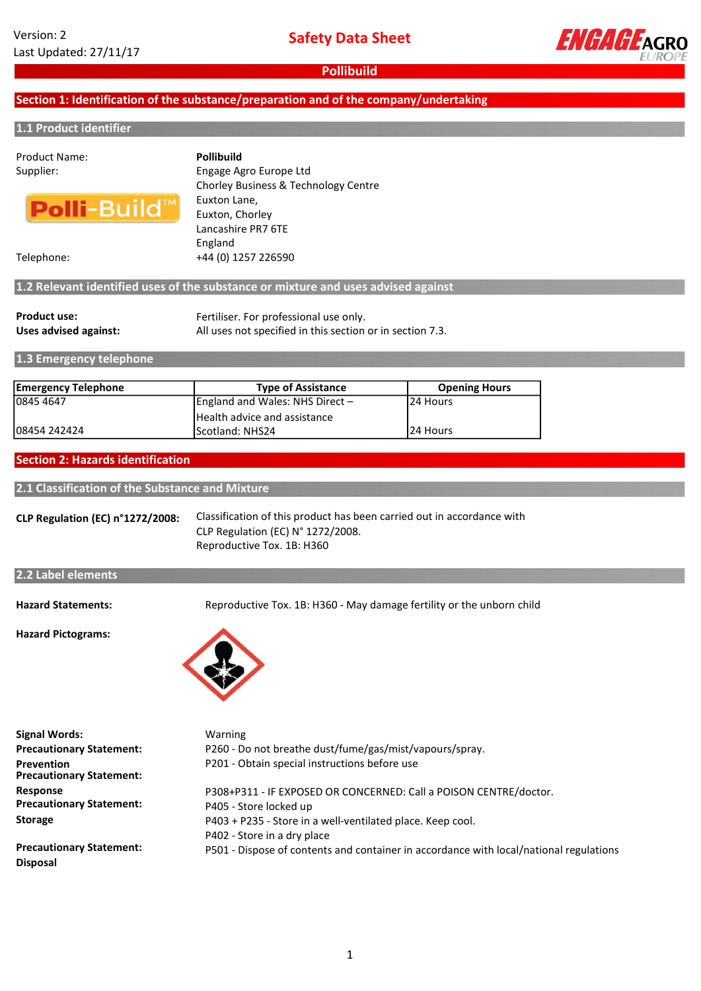

## Section 1: Identification of the substance/preparation and of the company/undertaking

#### 1.1 Product identifier

# Product Name:



Supplier: Engage Agro Europe Ltd Chorley Business & Technology Centre Euxton Lane, Euxton, Chorley Lancashire PR7 6TE England Pollibuild

Telephone: +44 (0) 1257 226590

## 1.2 Relevant identified uses of the substance or mixture and uses advised against

| <b>Product use:</b>   | Fertiliser. For professional use only.                    |
|-----------------------|-----------------------------------------------------------|
| Uses advised against: | All uses not specified in this section or in section 7.3. |

1.3 Emergency telephone

| <b>Emergency Telephone</b> | <b>Type of Assistance</b>       | <b>Opening Hours</b> |
|----------------------------|---------------------------------|----------------------|
| 10845 4647                 | England and Wales: NHS Direct - | 124 Hours            |
|                            | Health advice and assistance    |                      |
| 108454 242424              | <b>IScotland: NHS24</b>         | 124 Hours            |

# Section 2: Hazards identification

2.1 Classification of the Substance and Mixture

CLP Regulation (EC) n°1272/2008: Classification of this product has been carried out in accordance with CLP Regulation (EC) N° 1272/2008. Reproductive Tox. 1B: H360

### 2.2 Label elements

Hazard Statements:

Reproductive Tox. 1B: H360 - May damage fertility or the unborn child

Hazard Pictograms:



| <b>Signal Words:</b>                                 | Warning                                                                                |
|------------------------------------------------------|----------------------------------------------------------------------------------------|
| <b>Precautionary Statement:</b>                      | P260 - Do not breathe dust/fume/gas/mist/vapours/spray.                                |
| <b>Prevention</b><br><b>Precautionary Statement:</b> | P201 - Obtain special instructions before use                                          |
| <b>Response</b>                                      | P308+P311 - IF EXPOSED OR CONCERNED: Call a POISON CENTRE/doctor.                      |
| <b>Precautionary Statement:</b>                      | P405 - Store locked up                                                                 |
| <b>Storage</b>                                       | P403 + P235 - Store in a well-ventilated place. Keep cool.                             |
|                                                      | P402 - Store in a dry place                                                            |
| <b>Precautionary Statement:</b>                      | P501 - Dispose of contents and container in accordance with local/national regulations |
| <b>Disposal</b>                                      |                                                                                        |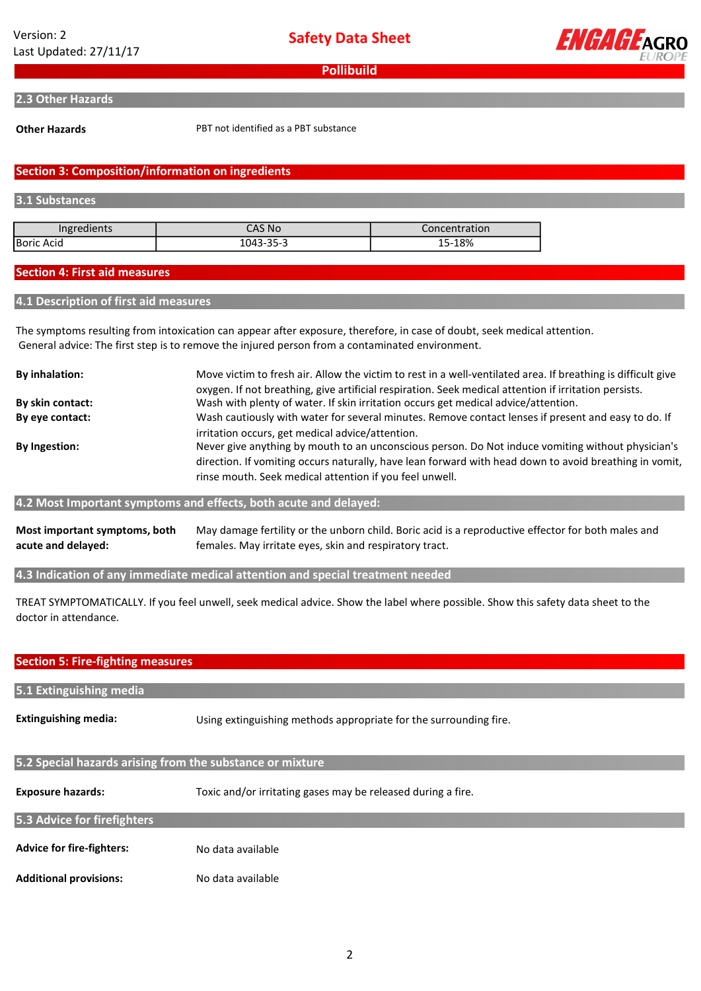Safety Data Sheet



**Pollibuild** 

#### 2.3 Other Hazards

Other Hazards

PBT not identified as a PBT substance

# Section 3: Composition/information on ingredients

#### 3.1 Substances

| Ingredients | CAS No    | Concentration |
|-------------|-----------|---------------|
| Boric Acid  | 1043-35-3 | 15-18%        |

### Section 4: First aid measures

### 4.1 Description of first aid measures

The symptoms resulting from intoxication can appear after exposure, therefore, in case of doubt, seek medical attention. General advice: The first step is to remove the injured person from a contaminated environment.

| <b>By inhalation:</b> | Move victim to fresh air. Allow the victim to rest in a well-ventilated area. If breathing is difficult give                                                                                                                                                                                                               |
|-----------------------|----------------------------------------------------------------------------------------------------------------------------------------------------------------------------------------------------------------------------------------------------------------------------------------------------------------------------|
| By skin contact:      | oxygen. If not breathing, give artificial respiration. Seek medical attention if irritation persists.<br>Wash with plenty of water. If skin irritation occurs get medical advice/attention.                                                                                                                                |
| By eye contact:       | Wash cautiously with water for several minutes. Remove contact lenses if present and easy to do. If                                                                                                                                                                                                                        |
| By Ingestion:         | irritation occurs, get medical advice/attention.<br>Never give anything by mouth to an unconscious person. Do Not induce vomiting without physician's<br>direction. If vomiting occurs naturally, have lean forward with head down to avoid breathing in vomit,<br>rinse mouth. Seek medical attention if you feel unwell. |

#### 4.2 Most Important symptoms and effects, both acute and delayed:

Most important symptoms, both acute and delayed: May damage fertility or the unborn child. Boric acid is a reproductive effector for both males and females. May irritate eyes, skin and respiratory tract.

4.3 Indication of any immediate medical attention and special treatment needed

TREAT SYMPTOMATICALLY. If you feel unwell, seek medical advice. Show the label where possible. Show this safety data sheet to the doctor in attendance.

# Section 5: Fire-fighting measures

| 5.1 Extinguishing media                                   |                                                                   |  |
|-----------------------------------------------------------|-------------------------------------------------------------------|--|
| <b>Extinguishing media:</b>                               | Using extinguishing methods appropriate for the surrounding fire. |  |
| 5.2 Special hazards arising from the substance or mixture |                                                                   |  |
| <b>Exposure hazards:</b>                                  | Toxic and/or irritating gases may be released during a fire.      |  |
| 5.3 Advice for firefighters                               |                                                                   |  |
| <b>Advice for fire-fighters:</b>                          | No data available                                                 |  |
| <b>Additional provisions:</b>                             | No data available                                                 |  |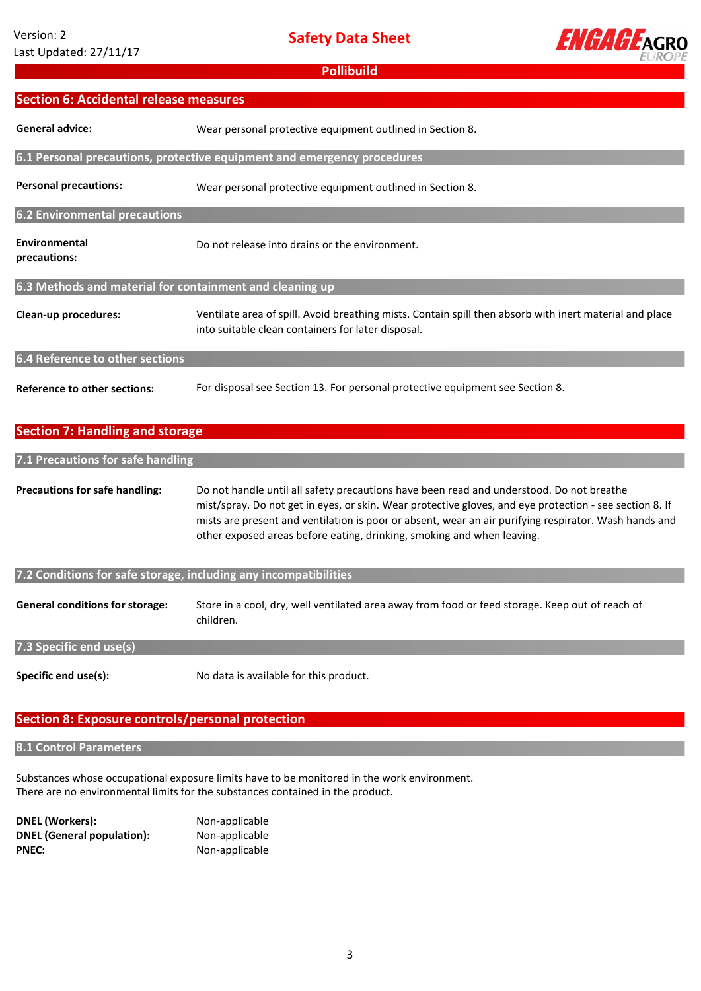Section 6: Accidental release measures

General advice:

Safety Data Sheet



I

**Pollibuild** 

Wear personal protective equipment outlined in Section 8.

| <b>Personal precautions:</b>                             | Wear personal protective equipment outlined in Section 8.                                                                                                                                                                                                                                                                                                                              |  |
|----------------------------------------------------------|----------------------------------------------------------------------------------------------------------------------------------------------------------------------------------------------------------------------------------------------------------------------------------------------------------------------------------------------------------------------------------------|--|
| <b>6.2 Environmental precautions</b>                     |                                                                                                                                                                                                                                                                                                                                                                                        |  |
| <b>Environmental</b><br>precautions:                     | Do not release into drains or the environment.                                                                                                                                                                                                                                                                                                                                         |  |
| 6.3 Methods and material for containment and cleaning up |                                                                                                                                                                                                                                                                                                                                                                                        |  |
| Clean-up procedures:                                     | Ventilate area of spill. Avoid breathing mists. Contain spill then absorb with inert material and place<br>into suitable clean containers for later disposal.                                                                                                                                                                                                                          |  |
| <b>6.4 Reference to other sections</b>                   |                                                                                                                                                                                                                                                                                                                                                                                        |  |
| <b>Reference to other sections:</b>                      | For disposal see Section 13. For personal protective equipment see Section 8.                                                                                                                                                                                                                                                                                                          |  |
| <b>Section 7: Handling and storage</b>                   |                                                                                                                                                                                                                                                                                                                                                                                        |  |
|                                                          |                                                                                                                                                                                                                                                                                                                                                                                        |  |
| 7.1 Precautions for safe handling                        |                                                                                                                                                                                                                                                                                                                                                                                        |  |
| <b>Precautions for safe handling:</b>                    | Do not handle until all safety precautions have been read and understood. Do not breathe<br>mist/spray. Do not get in eyes, or skin. Wear protective gloves, and eye protection - see section 8. If<br>mists are present and ventilation is poor or absent, wear an air purifying respirator. Wash hands and<br>other exposed areas before eating, drinking, smoking and when leaving. |  |

6.1 Personal precautions, protective equipment and emergency procedures

| 7.2 Conditions for safe storage, including any incompatibilities |                                                                                                              |
|------------------------------------------------------------------|--------------------------------------------------------------------------------------------------------------|
| <b>General conditions for storage:</b>                           | Store in a cool, dry, well ventilated area away from food or feed storage. Keep out of reach of<br>children. |
| 7.3 Specific end use(s)                                          |                                                                                                              |
| Specific end use(s):                                             | No data is available for this product.                                                                       |

# Section 8: Exposure controls/personal protection

8.1 Control Parameters

Substances whose occupational exposure limits have to be monitored in the work environment. There are no environmental limits for the substances contained in the product.

DNEL (Workers): Non-applicable DNEL (General population): Non-applicable PNEC: Non-applicable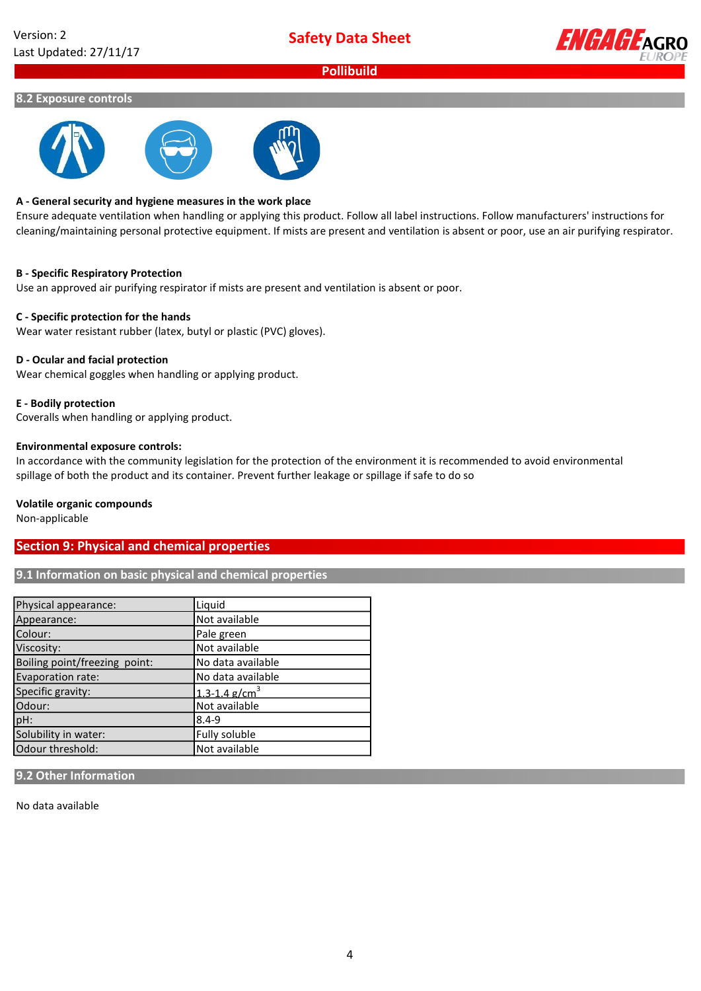

### 8.2 Exposure controls



### A - General security and hygiene measures in the work place

Ensure adequate ventilation when handling or applying this product. Follow all label instructions. Follow manufacturers' instructions for cleaning/maintaining personal protective equipment. If mists are present and ventilation is absent or poor, use an air purifying respirator.

### B - Specific Respiratory Protection

Use an approved air purifying respirator if mists are present and ventilation is absent or poor.

### C - Specific protection for the hands

Wear water resistant rubber (latex, butyl or plastic (PVC) gloves).

### D - Ocular and facial protection

Wear chemical goggles when handling or applying product.

### E - Bodily protection

Coveralls when handling or applying product.

### Environmental exposure controls:

In accordance with the community legislation for the protection of the environment it is recommended to avoid environmental spillage of both the product and its container. Prevent further leakage or spillage if safe to do so

#### Volatile organic compounds

Non-applicable

# Section 9: Physical and chemical properties

### 9.1 Information on basic physical and chemical properties

| Physical appearance:          | Liquid                        |
|-------------------------------|-------------------------------|
| Appearance:                   | Not available                 |
| Colour:                       | Pale green                    |
| Viscosity:                    | Not available                 |
| Boiling point/freezing point: | No data available             |
| Evaporation rate:             | No data available             |
| Specific gravity:             | $1.3 - 1.4$ g/cm <sup>3</sup> |
| Odour:                        | Not available                 |
| pH:                           | $8.4 - 9$                     |
| Solubility in water:          | Fully soluble                 |
| Odour threshold:              | Not available                 |

### 9.2 Other Information

No data available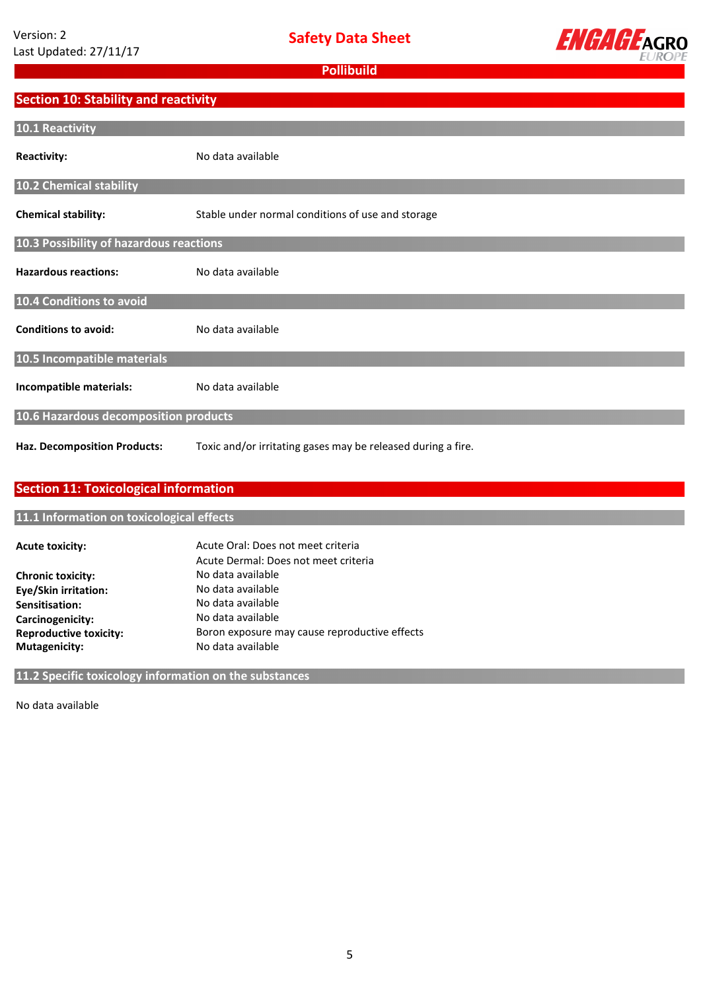

# Section 10: Stability and reactivity

| 10.1 Reactivity                         |                                                              |  |
|-----------------------------------------|--------------------------------------------------------------|--|
| <b>Reactivity:</b>                      | No data available                                            |  |
| 10.2 Chemical stability                 |                                                              |  |
| <b>Chemical stability:</b>              | Stable under normal conditions of use and storage            |  |
| 10.3 Possibility of hazardous reactions |                                                              |  |
| <b>Hazardous reactions:</b>             | No data available                                            |  |
| 10.4 Conditions to avoid                |                                                              |  |
| <b>Conditions to avoid:</b>             | No data available                                            |  |
| 10.5 Incompatible materials             |                                                              |  |
| Incompatible materials:                 | No data available                                            |  |
| 10.6 Hazardous decomposition products   |                                                              |  |
| <b>Haz. Decomposition Products:</b>     | Toxic and/or irritating gases may be released during a fire. |  |

# Section 11: Toxicological information

# 11.1 Information on toxicological effects

| Acute Oral: Does not meet criteria            |
|-----------------------------------------------|
| Acute Dermal: Does not meet criteria          |
| No data available                             |
| No data available                             |
| No data available                             |
| No data available                             |
| Boron exposure may cause reproductive effects |
| No data available                             |
|                                               |

# 11.2 Specific toxicology information on the substances

No data available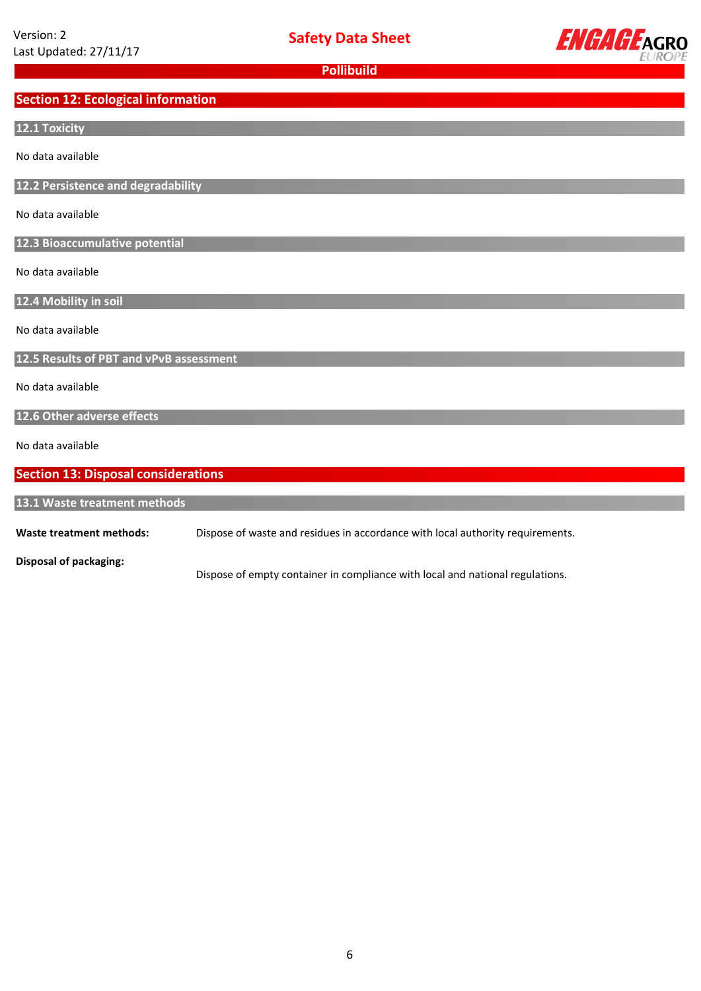

# Section 12: Ecological information

# 12.1 Toxicity

No data available

12.2 Persistence and degradability

No data available

12.3 Bioaccumulative potential

No data available

12.4 Mobility in soil

No data available

12.5 Results of PBT and vPvB assessment

No data available

12.6 Other adverse effects

No data available

# Section 13: Disposal considerations

13.1 Waste treatment methods

Waste treatment methods: Dispose of waste and residues in accordance with local authority requirements.

Disposal of packaging:

Dispose of empty container in compliance with local and national regulations.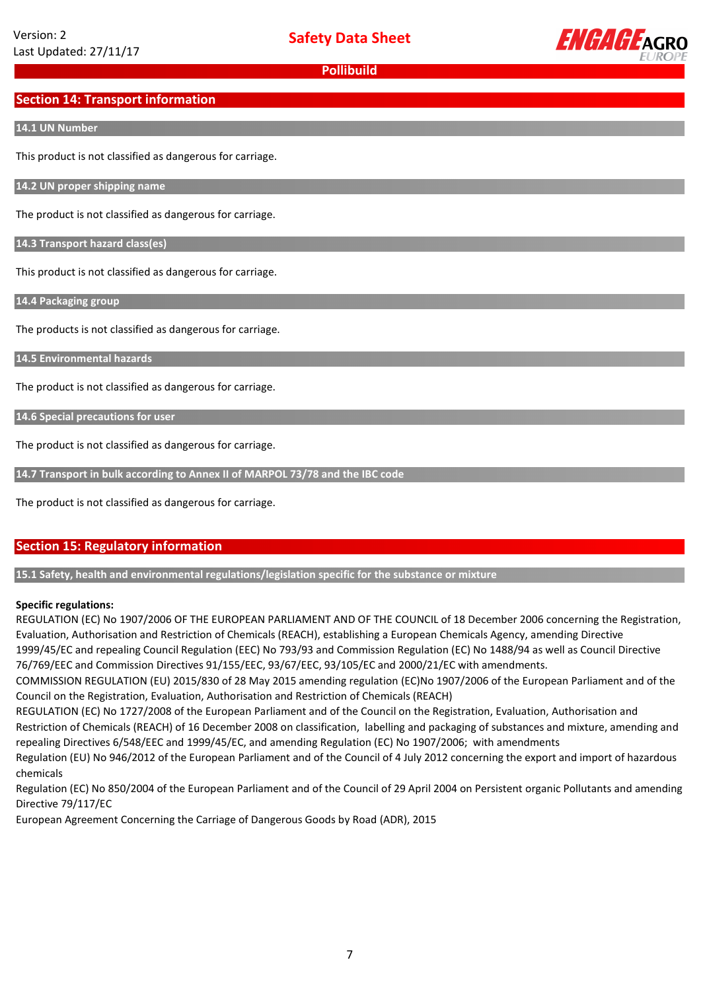

# Section 14: Transport information

### 14.1 UN Number

This product is not classified as dangerous for carriage.

14.2 UN proper shipping name

The product is not classified as dangerous for carriage.

14.3 Transport hazard class(es)

This product is not classified as dangerous for carriage.

14.4 Packaging group

The products is not classified as dangerous for carriage.

14.5 Environmental hazards

The product is not classified as dangerous for carriage.

14.6 Special precautions for user

The product is not classified as dangerous for carriage.

14.7 Transport in bulk according to Annex II of MARPOL 73/78 and the IBC code

The product is not classified as dangerous for carriage.

# Section 15: Regulatory information

15.1 Safety, health and environmental regulations/legislation specific for the substance or mixture

### Specific regulations:

REGULATION (EC) No 1907/2006 OF THE EUROPEAN PARLIAMENT AND OF THE COUNCIL of 18 December 2006 concerning the Registration, Evaluation, Authorisation and Restriction of Chemicals (REACH), establishing a European Chemicals Agency, amending Directive 1999/45/EC and repealing Council Regulation (EEC) No 793/93 and Commission Regulation (EC) No 1488/94 as well as Council Directive 76/769/EEC and Commission Directives 91/155/EEC, 93/67/EEC, 93/105/EC and 2000/21/EC with amendments.

COMMISSION REGULATION (EU) 2015/830 of 28 May 2015 amending regulation (EC)No 1907/2006 of the European Parliament and of the Council on the Registration, Evaluation, Authorisation and Restriction of Chemicals (REACH)

REGULATION (EC) No 1727/2008 of the European Parliament and of the Council on the Registration, Evaluation, Authorisation and Restriction of Chemicals (REACH) of 16 December 2008 on classification, labelling and packaging of substances and mixture, amending and repealing Directives 6/548/EEC and 1999/45/EC, and amending Regulation (EC) No 1907/2006; with amendments

Regulation (EU) No 946/2012 of the European Parliament and of the Council of 4 July 2012 concerning the export and import of hazardous chemicals

Regulation (EC) No 850/2004 of the European Parliament and of the Council of 29 April 2004 on Persistent organic Pollutants and amending Directive 79/117/EC

European Agreement Concerning the Carriage of Dangerous Goods by Road (ADR), 2015